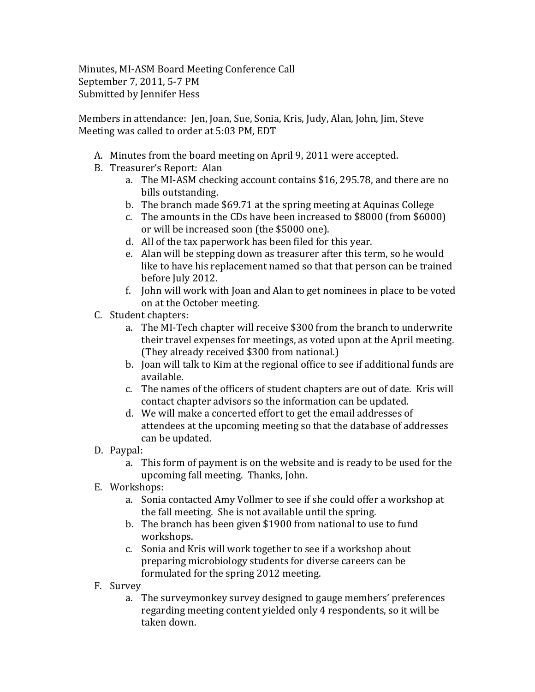Minutes, MI-ASM Board Meeting Conference Call September 7, 2011, 5-7 PM Submitted by Jennifer Hess

Members in attendance: Jen, Joan, Sue, Sonia, Kris, Judy, Alan, John, Jim, Steve Meeting was called to order at 5:03 PM, EDT

- A. Minutes from the board meeting on April 9, 2011 were accepted.
- B. Treasurer's Report: Alan
	- a. The MI-ASM checking account contains \$16, 295.78, and there are no bills outstanding.
	- b. The branch made \$69.71 at the spring meeting at Aquinas College
	- c. The amounts in the CDs have been increased to  $$8000$  (from  $$6000$ ) or will be increased soon (the \$5000 one).
	- d. All of the tax paperwork has been filed for this year.
	- e. Alan will be stepping down as treasurer after this term, so he would like to have his replacement named so that that person can be trained before July 2012.
	- f. John will work with Joan and Alan to get nominees in place to be voted on at the October meeting.
- C. Student chapters:
	- a. The MI-Tech chapter will receive \$300 from the branch to underwrite their travel expenses for meetings, as voted upon at the April meeting. (They already received \$300 from national.)
	- b. Joan will talk to Kim at the regional office to see if additional funds are available.
	- c. The names of the officers of student chapters are out of date. Kris will contact chapter advisors so the information can be updated.
	- d. We will make a concerted effort to get the email addresses of attendees at the upcoming meeting so that the database of addresses can be updated.
- D. Paypal:
	- a. This form of payment is on the website and is ready to be used for the upcoming fall meeting. Thanks, John.
- E. Workshops:
	- a. Sonia contacted Amy Vollmer to see if she could offer a workshop at the fall meeting. She is not available until the spring.
	- b. The branch has been given \$1900 from national to use to fund workshops.
	- c. Sonia and Kris will work together to see if a workshop about preparing microbiology students for diverse careers can be formulated for the spring 2012 meeting.
- F. Survey
	- a. The surveymonkey survey designed to gauge members' preferences regarding meeting content yielded only 4 respondents, so it will be taken down.